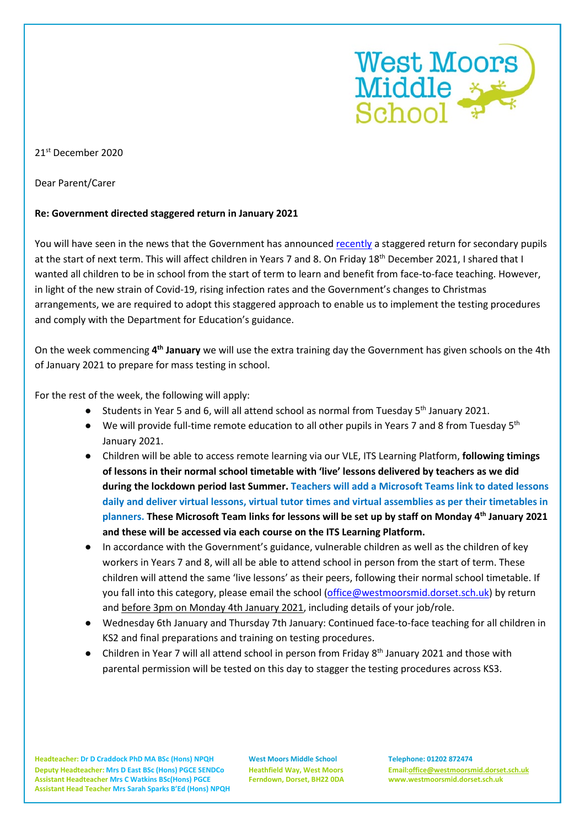

## 21st December 2020

Dear Parent/Carer

## **Re: Government directed staggered return in January 2021**

You will have seen in the news that the Government has announced [recently](https://www.gov.uk/government/publications/schools-and-childcare-settings-return-in-january-2021/schools-and-childcare-settings-return-in-january-2021) a staggered return for secondary pupils at the start of next term. This will affect children in Years 7 and 8. On Friday 18th December 2021, I shared that I wanted all children to be in school from the start of term to learn and benefit from face-to-face teaching. However, in light of the new strain of Covid-19, rising infection rates and the Government's changes to Christmas arrangements, we are required to adopt this staggered approach to enable us to implement the testing procedures and comply with the Department for Education's guidance.

On the week commencing **4th January** we will use the extra training day the Government has given schools on the 4th of January 2021 to prepare for mass testing in school.

For the rest of the week, the following will apply:

- Students in Year 5 and 6, will all attend school as normal from Tuesday 5<sup>th</sup> January 2021.
- We will provide full-time remote education to all other pupils in Years 7 and 8 from Tuesday 5<sup>th</sup> January 2021.
- Children will be able to access remote learning via our VLE, ITS Learning Platform, **following timings of lessons in their normal school timetable with 'live' lessons delivered by teachers as we did during the lockdown period last Summer. Teachers will add a Microsoft Teams link to dated lessons daily and deliver virtual lessons, virtual tutor times and virtual assemblies as per their timetables in planners. These Microsoft Team links for lessons will be set up by staff on Monday 4th January 2021 and these will be accessed via each course on the ITS Learning Platform.**
- In accordance with the Government's guidance, vulnerable children as well as the children of key workers in Years 7 and 8, will all be able to attend school in person from the start of term. These children will attend the same 'live lessons' as their peers, following their normal school timetable. If you fall into this category, please email the school [\(office@westmoorsmid.dorset.sch.uk\)](mailto:office@westmoorsmid.dorset.sch.uk) by return and before 3pm on Monday 4th January 2021, including details of your job/role.
- Wednesday 6th January and Thursday 7th January: Continued face-to-face teaching for all children in KS2 and final preparations and training on testing procedures.
- Children in Year 7 will all attend school in person from Friday  $8<sup>th</sup>$  January 2021 and those with parental permission will be tested on this day to stagger the testing procedures across KS3.

**Headteacher: Dr D Craddock PhD MA BSc (Hons) NPQH West Moors Middle School Telephone: 01202 872474 Deputy Headteacher: Mrs D East BSc (Hons) PGCE SENDCo Heathfield Way, West Moors Email[:office@westmoorsmid.dorset.sch.uk](mailto:office@westmoorsmid.dorset.sch.uk) Assistant Headteacher Mrs C Watkins BSc(Hons) PGCE Ferndown, Dorset, BH22 0DA www.westmoorsmid.dorset.sch.uk Assistant Head Teacher Mrs Sarah Sparks B'Ed (Hons) NPQH**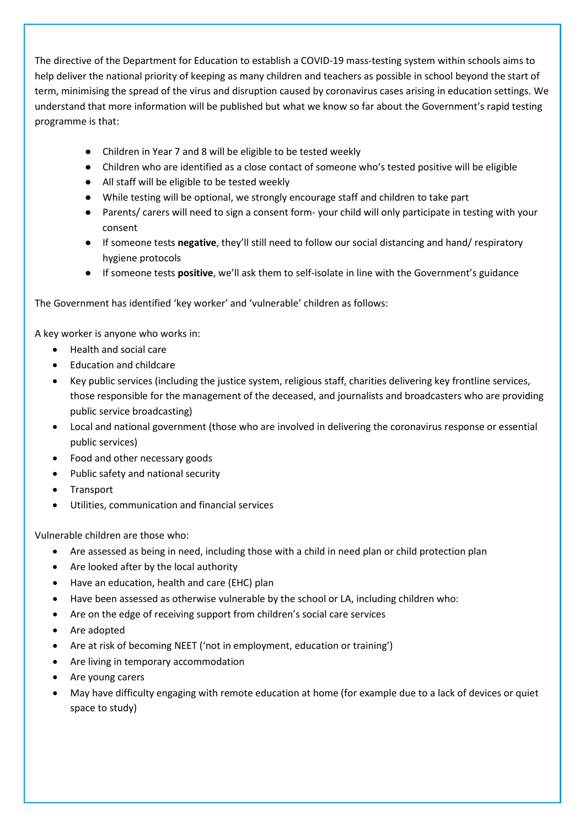The directive of the Department for Education to establish a COVID-19 mass-testing system within schools aims to help deliver the national priority of keeping as many children and teachers as possible in school beyond the start of term, minimising the spread of the virus and disruption caused by coronavirus cases arising in education settings. We understand that more information will be published but what we know so far about the Government's rapid testing programme is that:

- Children in Year 7 and 8 will be eligible to be tested weekly
- Children who are identified as a close contact of someone who's tested positive will be eligible
- All staff will be eligible to be tested weekly
- While testing will be optional, we strongly encourage staff and children to take part
- Parents/ carers will need to sign a consent form- your child will only participate in testing with your consent
- If someone tests **negative**, they'll still need to follow our social distancing and hand/ respiratory hygiene protocols
- If someone tests **positive**, we'll ask them to self-isolate in line with the Government's guidance

The Government has identified 'key worker' and 'vulnerable' children as follows:

A key worker is anyone who works in:

- Health and social care
- Education and childcare
- Key public services (including the justice system, religious staff, charities delivering key frontline services, those responsible for the management of the deceased, and journalists and broadcasters who are providing public service broadcasting)
- Local and national government (those who are involved in delivering the coronavirus response or essential public services)
- Food and other necessary goods
- Public safety and national security
- **Transport**
- Utilities, communication and financial services

Vulnerable children are those who:

- Are assessed as being in need, including those with a child in need plan or child protection plan
- Are looked after by the local authority
- Have an education, health and care (EHC) plan
- Have been assessed as otherwise vulnerable by the school or LA, including children who:
- Are on the edge of receiving support from children's social care services
- Are adopted
- Are at risk of becoming NEET ('not in employment, education or training')
- Are living in temporary accommodation
- Are young carers
- May have difficulty engaging with remote education at home (for example due to a lack of devices or quiet space to study)